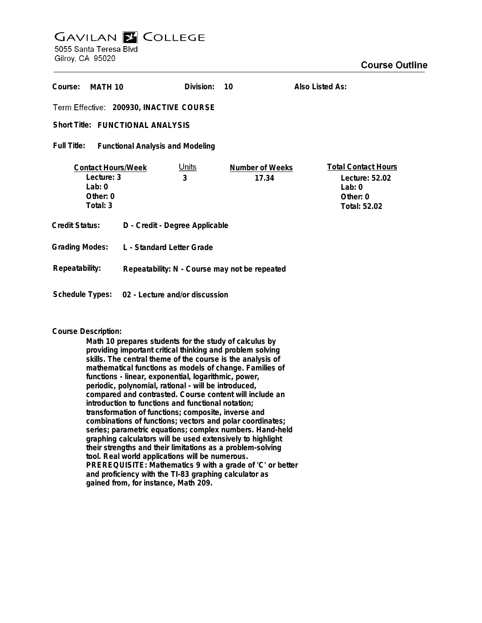## **GAVILAN E COLLEGE** 5055 Santa Teresa Blvd

Gilroy, CA 95020

| Course:<br>MATH 10                                                          |                                               | Division:         | 10                              | Also Listed As:                                                                      |
|-----------------------------------------------------------------------------|-----------------------------------------------|-------------------|---------------------------------|--------------------------------------------------------------------------------------|
| Term Effective: 200930, INACTIVE COURSE                                     |                                               |                   |                                 |                                                                                      |
| <b>Short Title: FUNCTIONAL ANALYSIS</b>                                     |                                               |                   |                                 |                                                                                      |
| Full Title:<br><b>Functional Analysis and Modeling</b>                      |                                               |                   |                                 |                                                                                      |
| <b>Contact Hours/Week</b><br>Lecture: 3<br>Lab: $0$<br>Other: 0<br>Total: 3 |                                               | <u>Units</u><br>3 | <b>Number of Weeks</b><br>17.34 | <b>Total Contact Hours</b><br>Lecture: 52.02<br>Lab: $0$<br>Other: 0<br>Total: 52.02 |
| Credit Status:                                                              | D - Credit - Degree Applicable                |                   |                                 |                                                                                      |
| <b>Grading Modes:</b>                                                       | L - Standard Letter Grade                     |                   |                                 |                                                                                      |
| Repeatability:                                                              | Repeatability: N - Course may not be repeated |                   |                                 |                                                                                      |
| Schedule Types:<br>02 - Lecture and/or discussion                           |                                               |                   |                                 |                                                                                      |

## **Course Description:**

**Math 10 prepares students for the study of calculus by providing important critical thinking and problem solving skills. The central theme of the course is the analysis of mathematical functions as models of change. Families of functions - linear, exponential, logarithmic, power, periodic, polynomial, rational - will be introduced, compared and contrasted. Course content will include an introduction to functions and functional notation; transformation of functions; composite, inverse and combinations of functions; vectors and polar coordinates; series; parametric equations; complex numbers. Hand-held graphing calculators will be used extensively to highlight their strengths and their limitations as a problem-solving tool. Real world applications will be numerous. PREREQUISITE: Mathematics 9 with a grade of 'C' or better and proficiency with the TI-83 graphing calculator as gained from, for instance, Math 209.**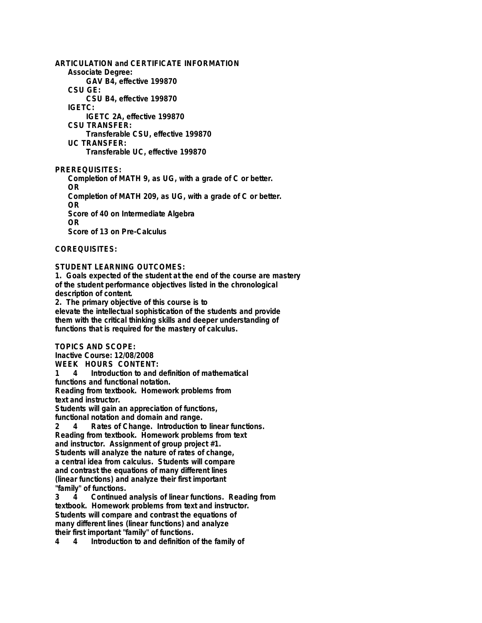**ARTICULATION and CERTIFICATE INFORMATION Associate Degree: GAV B4, effective 199870 CSU GE: CSU B4, effective 199870 IGETC: IGETC 2A, effective 199870 CSU TRANSFER: Transferable CSU, effective 199870 UC TRANSFER: Transferable UC, effective 199870**

**PREREQUISITES: Completion of MATH 9, as UG, with a grade of C or better. OR Completion of MATH 209, as UG, with a grade of C or better. OR Score of 40 on Intermediate Algebra OR Score of 13 on Pre-Calculus**

**COREQUISITES:**

**STUDENT LEARNING OUTCOMES:**

**1. Goals expected of the student at the end of the course are mastery of the student performance objectives listed in the chronological description of content.**

**2. The primary objective of this course is to elevate the intellectual sophistication of the students and provide them with the critical thinking skills and deeper understanding of functions that is required for the mastery of calculus.**

**TOPICS AND SCOPE:**

**Inactive Course: 12/08/2008 WEEK HOURS CONTENT:**

**1 4 Introduction to and definition of mathematical**

**functions and functional notation.**

**Reading from textbook. Homework problems from text and instructor.**

**Students will gain an appreciation of functions, functional notation and domain and range.**

**2 4 Rates of Change. Introduction to linear functions. Reading from textbook. Homework problems from text and instructor. Assignment of group project #1. Students will analyze the nature of rates of change, a central idea from calculus. Students will compare and contrast the equations of many different lines (linear functions) and analyze their first important "family" of functions.**

**3 4 Continued analysis of linear functions. Reading from textbook. Homework problems from text and instructor. Students will compare and contrast the equations of many different lines (linear functions) and analyze their first important "family" of functions.**

**4 4 Introduction to and definition of the family of**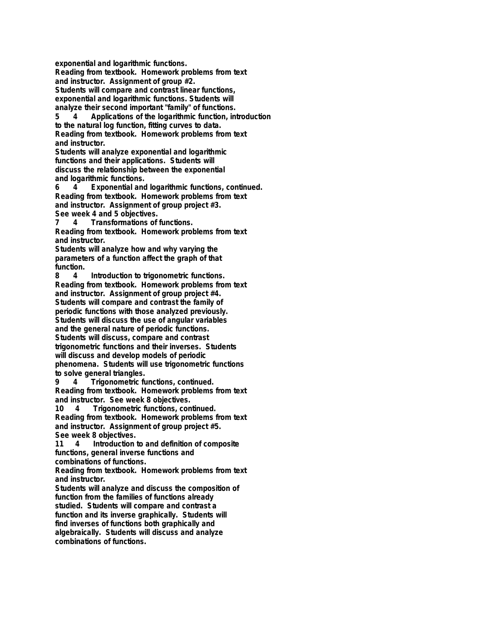**exponential and logarithmic functions. Reading from textbook. Homework problems from text and instructor. Assignment of group #2. Students will compare and contrast linear functions, exponential and logarithmic functions. Students will analyze their second important "family" of functions.**

**5 4 Applications of the logarithmic function, introduction to the natural log function, fitting curves to data. Reading from textbook. Homework problems from text and instructor.**

**Students will analyze exponential and logarithmic functions and their applications. Students will discuss the relationship between the exponential and logarithmic functions.**

**6 4 Exponential and logarithmic functions, continued. Reading from textbook. Homework problems from text and instructor. Assignment of group project #3. See week 4 and 5 objectives.**

**7 4 Transformations of functions. Reading from textbook. Homework problems from text and instructor.**

**Students will analyze how and why varying the parameters of a function affect the graph of that function.**

**8 4 Introduction to trigonometric functions. Reading from textbook. Homework problems from text and instructor. Assignment of group project #4. Students will compare and contrast the family of periodic functions with those analyzed previously. Students will discuss the use of angular variables and the general nature of periodic functions. Students will discuss, compare and contrast trigonometric functions and their inverses. Students will discuss and develop models of periodic phenomena. Students will use trigonometric functions to solve general triangles.**

**9 4 Trigonometric functions, continued. Reading from textbook. Homework problems from text and instructor. See week 8 objectives.**

**10 4 Trigonometric functions, continued. Reading from textbook. Homework problems from text and instructor. Assignment of group project #5. See week 8 objectives.**

**11 4 Introduction to and definition of composite functions, general inverse functions and combinations of functions.**

**Reading from textbook. Homework problems from text and instructor.**

**Students will analyze and discuss the composition of function from the families of functions already studied. Students will compare and contrast a function and its inverse graphically. Students will find inverses of functions both graphically and algebraically. Students will discuss and analyze combinations of functions.**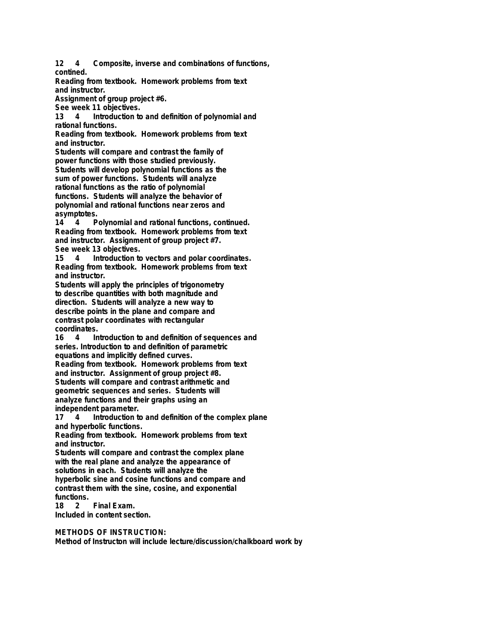**12 4 Composite, inverse and combinations of functions, contined.**

**Reading from textbook. Homework problems from text and instructor.**

**Assignment of group project #6.**

**See week 11 objectives.**

**13 4 Introduction to and definition of polynomial and rational functions.**

**Reading from textbook. Homework problems from text and instructor.**

**Students will compare and contrast the family of power functions with those studied previously. Students will develop polynomial functions as the sum of power functions. Students will analyze rational functions as the ratio of polynomial functions. Students will analyze the behavior of polynomial and rational functions near zeros and asymptotes.**

**14 4 Polynomial and rational functions, continued. Reading from textbook. Homework problems from text and instructor. Assignment of group project #7. See week 13 objectives.**

**15 4 Introduction to vectors and polar coordinates. Reading from textbook. Homework problems from text and instructor.**

**Students will apply the principles of trigonometry to describe quantities with both magnitude and direction. Students will analyze a new way to describe points in the plane and compare and contrast polar coordinates with rectangular coordinates.**

**16 4 Introduction to and definition of sequences and series. Introduction to and definition of parametric equations and implicitly defined curves.**

**Reading from textbook. Homework problems from text and instructor. Assignment of group project #8. Students will compare and contrast arithmetic and geometric sequences and series. Students will analyze functions and their graphs using an independent parameter.**

**17 4 Introduction to and definition of the complex plane and hyperbolic functions.**

**Reading from textbook. Homework problems from text and instructor.**

**Students will compare and contrast the complex plane with the real plane and analyze the appearance of solutions in each. Students will analyze the hyperbolic sine and cosine functions and compare and contrast them with the sine, cosine, and exponential functions.**

**Final Exam. Included in content section.**

**METHODS OF INSTRUCTION:**

**Method of Instructon will include lecture/discussion/chalkboard work by**